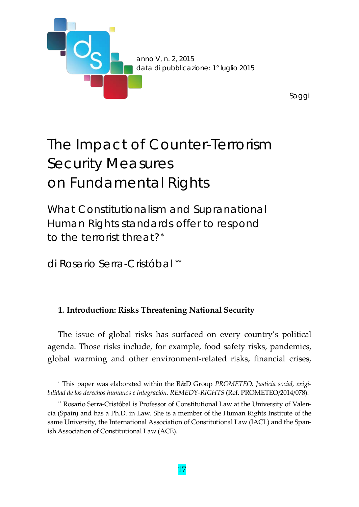

# The Impact of Counter-Terrorism Security Measures on Fundamental Rights

What Constitutionalism and Supranational Human Rights standards offer to respond to the terrorist threat?[\\*](#page-0-0)

di Rosario Serra-Cristóbal [\\*\\*](#page-0-1)

# **1. Introduction: Risks Threatening National Security**

The issue of global risks has surfaced on every country's political agenda. Those risks include, for example, food safety risks, pandemics, global warming and other environment-related risks, financial crises,

<span id="page-0-0"></span><sup>\*</sup> This paper was elaborated within the R&D Group *PROMETEO: Justicia social, exigibilidad de los derechos humanos e integración. REMEDY-RIGHTS* (Ref. PROMETEO/2014/078).

<span id="page-0-1"></span><sup>\*\*</sup> Rosario Serra-Cristóbal is Professor of Constitutional Law at the University of Valencia (Spain) and has a Ph.D. in Law. She is a member of the Human Rights Institute of the same University, the International Association of Constitutional Law (IACL) and the Spanish Association of Constitutional Law (ACE).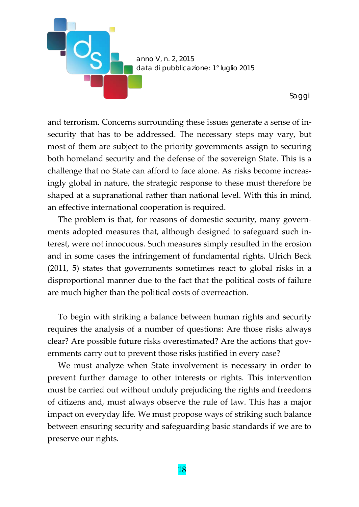

and terrorism. Concerns surrounding these issues generate a sense of insecurity that has to be addressed. The necessary steps may vary, but most of them are subject to the priority governments assign to securing both homeland security and the defense of the sovereign State. This is a challenge that no State can afford to face alone. As risks become increasingly global in nature, the strategic response to these must therefore be shaped at a supranational rather than national level. With this in mind, an effective international cooperation is required.

The problem is that, for reasons of domestic security, many governments adopted measures that, although designed to safeguard such interest, were not innocuous. Such measures simply resulted in the erosion and in some cases the infringement of fundamental rights. Ulrich Beck (2011, 5) states that governments sometimes react to global risks in a disproportional manner due to the fact that the political costs of failure are much higher than the political costs of overreaction.

To begin with striking a balance between human rights and security requires the analysis of a number of questions: Are those risks always clear? Are possible future risks overestimated? Are the actions that governments carry out to prevent those risks justified in every case?

We must analyze when State involvement is necessary in order to prevent further damage to other interests or rights. This intervention must be carried out without unduly prejudicing the rights and freedoms of citizens and, must always observe the rule of law. This has a major impact on everyday life. We must propose ways of striking such balance between ensuring security and safeguarding basic standards if we are to preserve our rights.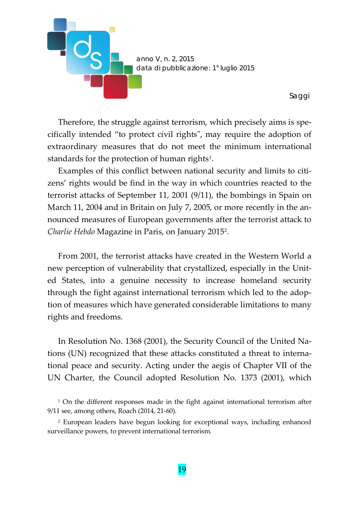

Therefore, the struggle against terrorism, which precisely aims is specifically intended "to protect civil rights", may require the adoption of extraordinary measures that do not meet the minimum international standards for the protection of human rights<sup>[1](#page-2-0)</sup>.

Examples of this conflict between national security and limits to citizens' rights would be find in the way in which countries reacted to the terrorist attacks of September 11, 2001 (9/11), the bombings in Spain on March 11, 2004 and in Britain on July 7, 2005, or more recently in the announced measures of European governments after the terrorist attack to *Charlie Hebdo* Magazine in Paris, on January 201[52.](#page-2-1)

From 2001, the terrorist attacks have created in the Western World a new perception of vulnerability that crystallized, especially in the United States, into a genuine necessity to increase homeland security through the fight against international terrorism which led to the adoption of measures which have generated considerable limitations to many rights and freedoms.

In Resolution No. 1368 (2001), the Security Council of the United Nations (UN) recognized that these attacks constituted a threat to international peace and security. Acting under the aegis of Chapter VII of the UN Charter, the Council adopted Resolution No. 1373 (2001), which

<span id="page-2-0"></span><sup>1</sup> On the different responses made in the fight against international terrorism after 9/11 see, among others, Roach (2014, 21-60).

<span id="page-2-1"></span><sup>2</sup> European leaders have begun looking for exceptional ways, including enhanced surveillance powers, to prevent international terrorism.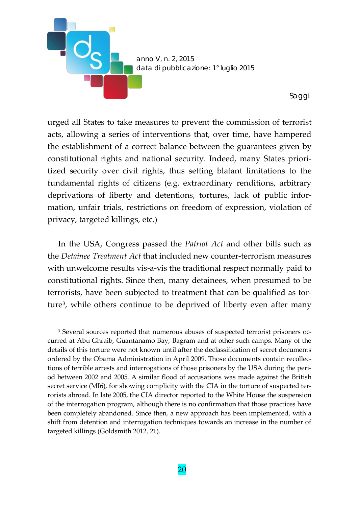

urged all States to take measures to prevent the commission of terrorist acts, allowing a series of interventions that, over time, have hampered the establishment of a correct balance between the guarantees given by constitutional rights and national security. Indeed, many States prioritized security over civil rights, thus setting blatant limitations to the fundamental rights of citizens (e.g. extraordinary renditions, arbitrary deprivations of liberty and detentions, tortures, lack of public information, unfair trials, restrictions on freedom of expression, violation of privacy, targeted killings, etc.)

In the USA, Congress passed the *Patriot Act* and other bills such as the *Detainee Treatment Act* that included new counter-terrorism measures with unwelcome results vis-a-vis the traditional respect normally paid to constitutional rights. Since then, many detainees, when presumed to be terrorists, have been subjected to treatment that can be qualified as tor-ture<sup>[3](#page-3-0)</sup>, while others continue to be deprived of liberty even after many

<span id="page-3-0"></span><sup>3</sup> Several sources reported that numerous abuses of suspected terrorist prisoners occurred at Abu Ghraib, Guantanamo Bay, Bagram and at other such camps. Many of the details of this torture were not known until after the declassification of secret documents ordered by the Obama Administration in April 2009. Those documents contain recollections of terrible arrests and interrogations of those prisoners by the USA during the period between 2002 and 2005. A similar flood of accusations was made against the British secret service (MI6), for showing complicity with the CIA in the torture of suspected terrorists abroad. In late 2005, the CIA director reported to the White House the suspension of the interrogation program, although there is no confirmation that those practices have been completely abandoned. Since then, a new approach has been implemented, with a shift from detention and interrogation techniques towards an increase in the number of targeted killings (Goldsmith 2012, 21).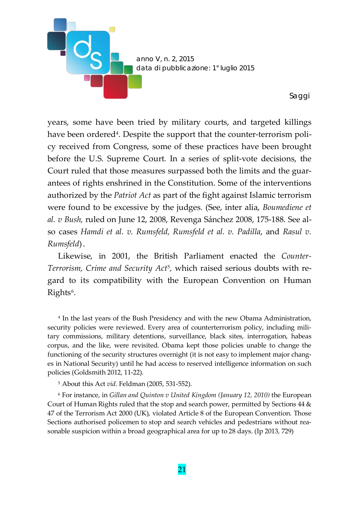

years, some have been tried by military courts, and targeted killings have been ordered<sup>[4](#page-4-0)</sup>. Despite the support that the counter-terrorism policy received from Congress, some of these practices have been brought before the U.S. Supreme Court. In a series of split-vote decisions, the Court ruled that those measures surpassed both the limits and the guarantees of rights enshrined in the Constitution. Some of the interventions authorized by the *Patriot Act* as part of the fight against Islamic terrorism were found to be excessive by the judges. (See, inter alia, *Boumediene et al. v Bush,* ruled on June 12, 2008, Revenga Sánchez 2008, 175-188. See also cases *Hamdi et al. v. Rumsfeld, Rumsfeld et al. v. Padilla*, and *Rasul v. Rumsfeld*).

Likewise, in 2001, the British Parliament enacted the *Counter-Terrorism, Crime and Security Act*[5](#page-4-1)*,* which raised serious doubts with regard to its compatibility with the European Convention on Human  $Right<sup>6</sup>$  $Right<sup>6</sup>$  $Right<sup>6</sup>$ .

<span id="page-4-0"></span><sup>4</sup> In the last years of the Bush Presidency and with the new Obama Administration, security policies were reviewed. Every area of counterterrorism policy, including military commissions, military detentions, surveillance, black sites, interrogation, habeas corpus, and the like, were revisited. Obama kept those policies unable to change the functioning of the security structures overnight (it is not easy to implement major changes in National Security) until he had access to reserved intelligence information on such policies (Goldsmith 2012, 11-22).

<sup>5</sup> About this Act *vid.* Feldman (2005, 531-552).

<span id="page-4-2"></span><span id="page-4-1"></span><sup>6</sup> For instance, in *Gillan and Quinton v United Kingdom (January 12, 2010)* the European Court of Human Rights ruled that the stop and search power, permitted by Sections 44 & 47 of the Terrorism Act 2000 (UK), violated Article 8 of the European Convention. Those Sections authorised policemen to stop and search vehicles and pedestrians without reasonable suspicion within a broad geographical area for up to 28 days. (Ip 2013, 729)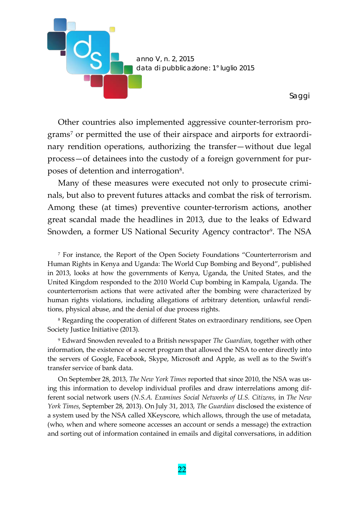

Other countries also implemented aggressive counter-terrorism pro-grams<sup>[7](#page-5-0)</sup> or permitted the use of their airspace and airports for extraordinary rendition operations, authorizing the transfer—without due legal process—of detainees into the custody of a foreign government for pur-poses of detention and interrogation<sup>[8](#page-5-1)</sup>.

Many of these measures were executed not only to prosecute criminals, but also to prevent futures attacks and combat the risk of terrorism. Among these (at times) preventive counter-terrorism actions, another great scandal made the headlines in 2013, due to the leaks of Edward Snowden, a former US National Security Agency contractor<sup>[9](#page-5-2)</sup>. The NSA

<span id="page-5-0"></span><sup>7</sup> For instance, the Report of the Open Society Foundations "Counterterrorism and Human Rights in Kenya and Uganda: The World Cup Bombing and Beyond", published in 2013, looks at how the governments of Kenya, Uganda, the United States, and the United Kingdom responded to the 2010 World Cup bombing in Kampala, Uganda. The counterterrorism actions that were activated after the bombing were characterized by human rights violations, including allegations of arbitrary detention, unlawful renditions, physical abuse, and the denial of due process rights.

<span id="page-5-1"></span><sup>8</sup> Regarding the cooperation of different States on extraordinary renditions, see Open Society Justice Initiative (2013).

<span id="page-5-2"></span><sup>9</sup> Edward Snowden revealed to a British newspaper *The Guardian*, together with other information, the existence of a secret program that allowed the NSA to enter directly into the servers of Google, Facebook, Skype, Microsoft and Apple, as well as to the Swift's transfer service of bank data.

On September 28, 2013, *The New York Times* reported that since 2010, the NSA was using this information to develop individual profiles and draw interrelations among different social network users (*N.S.A. Examines Social Networks of U.S. Citizens*, in *The New York Times*, September 28, 2013). On July 31, 2013, *The Guardian* disclosed the existence of a system used by the NSA called XKeyscore, which allows, through the use of metadata, (who, when and where someone accesses an account or sends a message) the extraction and sorting out of information contained in emails and digital conversations, in addition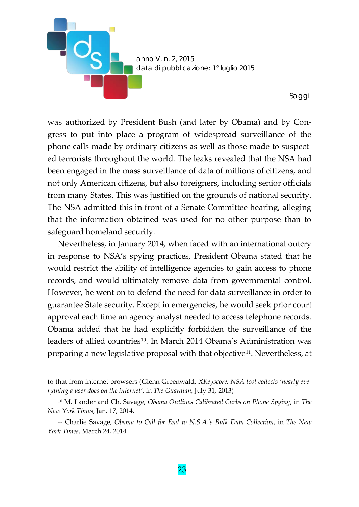

was authorized by President Bush (and later by Obama) and by Congress to put into place a program of widespread surveillance of the phone calls made by ordinary citizens as well as those made to suspected terrorists throughout the world. The leaks revealed that the NSA had been engaged in the mass surveillance of data of millions of citizens, and not only American citizens, but also foreigners, including senior officials from many States. This was justified on the grounds of national security. The NSA admitted this in front of a Senate Committee hearing, alleging that the information obtained was used for no other purpose than to safeguard homeland security.

Nevertheless, in January 2014, when faced with an international outcry in response to NSA's spying practices, President Obama stated that he would restrict the ability of intelligence agencies to gain access to phone records, and would ultimately remove data from governmental control. However, he went on to defend the need for data surveillance in order to guarantee State security. Except in emergencies, he would seek prior court approval each time an agency analyst needed to access telephone records. Obama added that he had explicitly forbidden the surveillance of the leaders of allied countries<sup>[10](#page-6-0)</sup>. In March 2014 Obama's Administration was preparing a new legislative proposal with that objective[11.](#page-6-1) Nevertheless, at

to that from internet browsers (Glenn Greenwald, *XKeyscore: NSA tool collects 'nearly everything a user does on the internet'*, in *The Guardian*, July 31, 2013)

<span id="page-6-0"></span><sup>10</sup> M. Lander and Ch. Savage, *Obama Outlines Calibrated Curbs on Phone Spying*, in *The New York Times*, Jan. 17, 2014.

<span id="page-6-1"></span><sup>11</sup> Charlie Savage, *Obama to Call for End to N.S.A.'s Bulk Data Collection*, in *The New York Times*, March 24, 2014.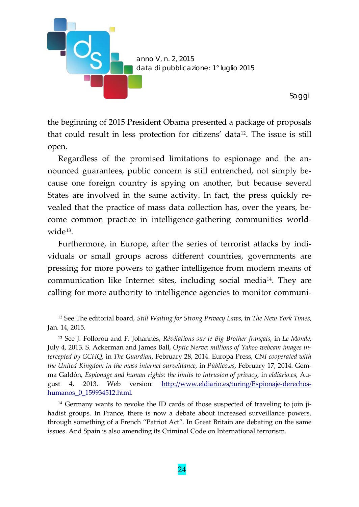

the beginning of 2015 President Obama presented a package of proposals that could result in less protection for citizens' data[12](#page-7-0). The issue is still open.

Regardless of the promised limitations to espionage and the announced guarantees, public concern is still entrenched, not simply because one foreign country is spying on another, but because several States are involved in the same activity. In fact, the press quickly revealed that the practice of mass data collection has, over the years, become common practice in intelligence-gathering communities worldwide[13.](#page-7-1)

Furthermore, in Europe, after the series of terrorist attacks by individuals or small groups across different countries, governments are pressing for more powers to gather intelligence from modern means of communication like Internet sites, including social medi[a14](#page-7-2). They are calling for more authority to intelligence agencies to monitor communi-

<span id="page-7-0"></span><sup>12</sup> See The editorial board, *Still Waiting for Strong Privacy Laws*, in *The New York Times*, Jan. 14, 2015.

<span id="page-7-1"></span><sup>13</sup> See J. Follorou and F. Johannès, *Révélations sur le Big Brother français*, in *Le Monde*, July 4, 2013. S. Ackerman and James Ball, *Optic Nerve: millions of Yahoo webcam images intercepted by GCHQ*, in *The Guardian*, February 28, 2014. Europa Press, *CNI cooperated with the United Kingdom in the mass internet surveillance*, in *Público.es*, February 17, 2014. Gemma Galdón, *Espionage and human rights: the limits to intrusion of privacy*, in *eldiario.es*, August 4, 2013. Web version: [http://www.eldiario.es/turing/Espionaje-derechos](http://www.eldiario.es/turing/Espionaje-derechos-humanos_0_159934512.html)humanos 0 159934512.html.

<span id="page-7-2"></span><sup>14</sup> Germany wants to revoke the ID cards of those suspected of traveling to join jihadist groups. In France, there is now a debate about increased surveillance powers, through something of a French "Patriot Act". In Great Britain are debating on the same issues. And Spain is also amending its Criminal Code on International terrorism.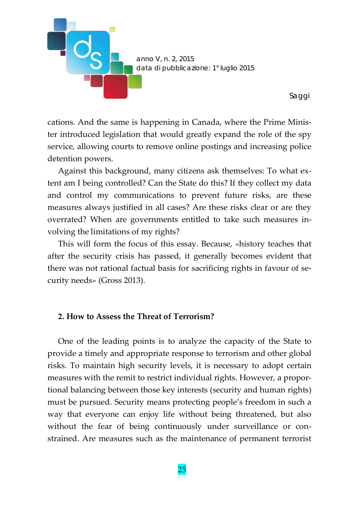

cations. And the same is happening in Canada, where the Prime Minister introduced legislation that would greatly expand the role of the spy service, allowing courts to remove online postings and increasing police detention powers.

Against this background, many citizens ask themselves: To what extent am I being controlled? Can the State do this? If they collect my data and control my communications to prevent future risks, are these measures always justified in all cases? Are these risks clear or are they overrated? When are governments entitled to take such measures involving the limitations of my rights?

This will form the focus of this essay. Because, «history teaches that after the security crisis has passed, it generally becomes evident that there was not rational factual basis for sacrificing rights in favour of security needs» (Gross 2013).

#### **2. How to Assess the Threat of Terrorism?**

One of the leading points is to analyze the capacity of the State to provide a timely and appropriate response to terrorism and other global risks. To maintain high security levels, it is necessary to adopt certain measures with the remit to restrict individual rights. However, a proportional balancing between those key interests (security and human rights) must be pursued. Security means protecting people's freedom in such a way that everyone can enjoy life without being threatened, but also without the fear of being continuously under surveillance or constrained. Are measures such as the maintenance of permanent terrorist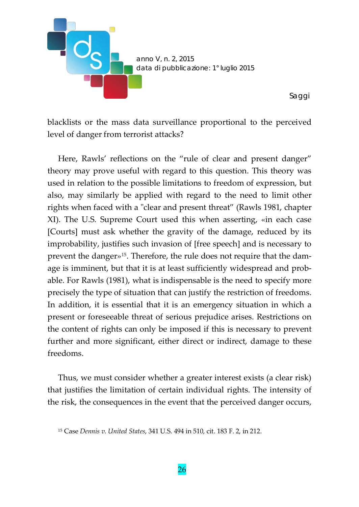

blacklists or the mass data surveillance proportional to the perceived level of danger from terrorist attacks?

Here, Rawls' reflections on the "rule of clear and present danger" theory may prove useful with regard to this question. This theory was used in relation to the possible limitations to freedom of expression, but also, may similarly be applied with regard to the need to limit other rights when faced with a "clear and present threat" (Rawls 1981, chapter XI). The U.S. Supreme Court used this when asserting, «in each case [Courts] must ask whether the gravity of the damage, reduced by its improbability, justifies such invasion of [free speech] and is necessary to prevent the danger»[15.](#page-9-0) Therefore, the rule does not require that the damage is imminent, but that it is at least sufficiently widespread and probable. For Rawls (1981), what is indispensable is the need to specify more precisely the type of situation that can justify the restriction of freedoms. In addition, it is essential that it is an emergency situation in which a present or foreseeable threat of serious prejudice arises. Restrictions on the content of rights can only be imposed if this is necessary to prevent further and more significant, either direct or indirect, damage to these freedoms.

Thus, we must consider whether a greater interest exists (a clear risk) that justifies the limitation of certain individual rights. The intensity of the risk, the consequences in the event that the perceived danger occurs,

<span id="page-9-0"></span><sup>15</sup> Case *Dennis v. United States*, 341 U.S. 494 in 510, cit. 183 F. 2, in 212.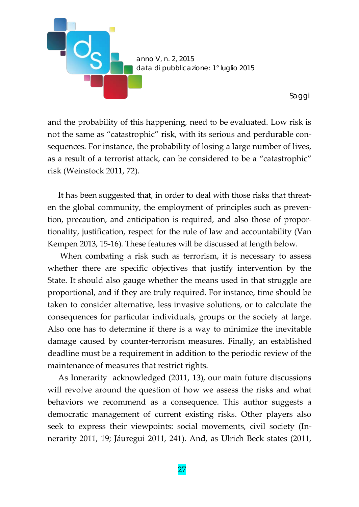

and the probability of this happening, need to be evaluated. Low risk is not the same as "catastrophic" risk, with its serious and perdurable consequences. For instance, the probability of losing a large number of lives, as a result of a terrorist attack, can be considered to be a "catastrophic" risk (Weinstock 2011, 72).

It has been suggested that, in order to deal with those risks that threaten the global community, the employment of principles such as prevention, precaution, and anticipation is required, and also those of proportionality, justification, respect for the rule of law and accountability (Van Kempen 2013, 15-16). These features will be discussed at length below.

When combating a risk such as terrorism, it is necessary to assess whether there are specific objectives that justify intervention by the State. It should also gauge whether the means used in that struggle are proportional, and if they are truly required. For instance, time should be taken to consider alternative, less invasive solutions, or to calculate the consequences for particular individuals, groups or the society at large. Also one has to determine if there is a way to minimize the inevitable damage caused by counter-terrorism measures. Finally, an established deadline must be a requirement in addition to the periodic review of the maintenance of measures that restrict rights.

As Innerarity acknowledged (2011, 13), our main future discussions will revolve around the question of how we assess the risks and what behaviors we recommend as a consequence. This author suggests a democratic management of current existing risks. Other players also seek to express their viewpoints: social movements, civil society (Innerarity 2011, 19; Jáuregui 2011, 241). And, as Ulrich Beck states (2011,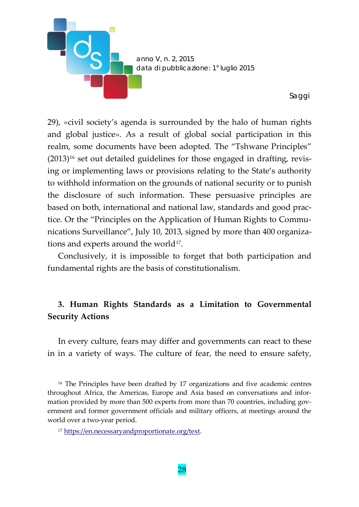

29), «civil society's agenda is surrounded by the halo of human rights and global justice». As a result of global social participation in this realm, some documents have been adopted. The "Tshwane Principles"  $(2013)^{16}$  $(2013)^{16}$  $(2013)^{16}$  set out detailed guidelines for those engaged in drafting, revising or implementing laws or provisions relating to the State's authority to withhold information on the grounds of national security or to punish the disclosure of such information. These persuasive principles are based on both, international and national law, standards and good practice. Or the "Principles on the Application of Human Rights to Communications Surveillance", July 10, 2013, signed by more than 400 organiza-tions and experts around the world<sup>[17](#page-11-1)</sup>.

Conclusively, it is impossible to forget that both participation and fundamental rights are the basis of constitutionalism.

## **3. Human Rights Standards as a Limitation to Governmental Security Actions**

In every culture, fears may differ and governments can react to these in in a variety of ways. The culture of fear, the need to ensure safety,

<span id="page-11-0"></span><sup>16</sup> The Principles have been drafted by 17 organizations and five academic centres throughout Africa, the Americas, Europe and Asia based on conversations and information provided by more than 500 experts from more than 70 countries, including government and former government officials and military officers, at meetings around the world over a two-year period.

<span id="page-11-1"></span><sup>17</sup> [https://en.necessaryandproportionate.org/text.](https://en.necessaryandproportionate.org/text)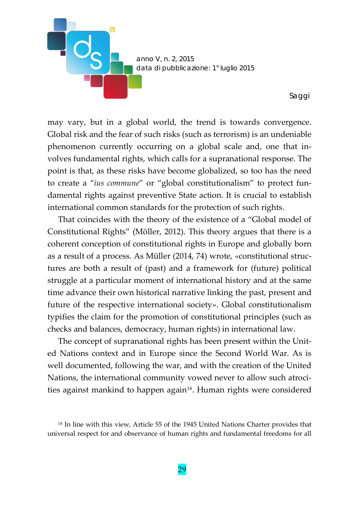

may vary, but in a global world, the trend is towards convergence. Global risk and the fear of such risks (such as terrorism) is an undeniable phenomenon currently occurring on a global scale and, one that involves fundamental rights, which calls for a supranational response. The point is that, as these risks have become globalized, so too has the need to create a "*ius commune*" or "global constitutionalism" to protect fundamental rights against preventive State action. It is crucial to establish international common standards for the protection of such rights.

That coincides with the theory of the existence of a "Global model of Constitutional Rights" (Möller, 2012). This theory argues that there is a coherent conception of constitutional rights in Europe and globally born as a result of a process. As Müller (2014, 74) wrote, «constitutional structures are both a result of (past) and a framework for (future) political struggle at a particular moment of international history and at the same time advance their own historical narrative linking the past, present and future of the respective international society». Global constitutionalism typifies the claim for the promotion of constitutional principles (such as checks and balances, democracy, human rights) in international law.

The concept of supranational rights has been present within the United Nations context and in Europe since the Second World War. As is well documented, following the war, and with the creation of the United Nations, the international community vowed never to allow such atroci-ties against mankind to happen again<sup>[18](#page-12-0)</sup>. Human rights were considered

<span id="page-12-0"></span><sup>&</sup>lt;sup>18</sup> In line with this view, Article 55 of the 1945 United Nations Charter provides that universal respect for and observance of human rights and fundamental freedoms for all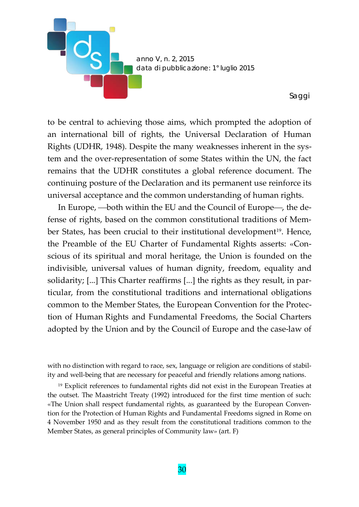

to be central to achieving those aims, which prompted the adoption of an international bill of rights, the Universal Declaration of Human Rights (UDHR, 1948). Despite the many weaknesses inherent in the system and the over-representation of some States within the UN, the fact remains that the UDHR constitutes a global reference document. The continuing posture of the Declaration and its permanent use reinforce its universal acceptance and the common understanding of human rights.

In Europe, -- both within the EU and the Council of Europe-, the defense of rights, based on the common constitutional traditions of Member States, has been crucial to their institutional development<sup>19</sup>. Hence, the Preamble of the EU Charter of Fundamental Rights asserts: «Conscious of its spiritual and moral heritage, the Union is founded on the indivisible, universal values of human dignity, freedom, equality and solidarity; [...] This Charter reaffirms [...] the rights as they result, in particular, from the constitutional traditions and international obligations common to the Member States, the European Convention for the Protection of Human Rights and Fundamental Freedoms, the Social Charters adopted by the Union and by the Council of Europe and the case-law of

with no distinction with regard to race, sex, language or religion are conditions of stability and well-being that are necessary for peaceful and friendly relations among nations.

<span id="page-13-0"></span><sup>19</sup> Explicit references to fundamental rights did not exist in the European Treaties at the outset. The Maastricht Treaty (1992) introduced for the first time mention of such: «The Union shall respect fundamental rights, as guaranteed by the European Convention for the Protection of Human Rights and Fundamental Freedoms signed in Rome on 4 November 1950 and as they result from the constitutional traditions common to the Member States, as general principles of Community law» (art. F)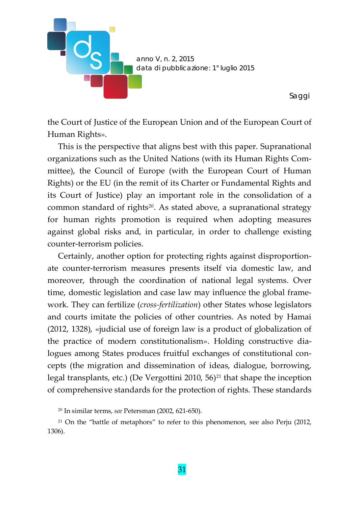

the Court of Justice of the European Union and of the European Court of Human Rights».

This is the perspective that aligns best with this paper. Supranational organizations such as the United Nations (with its Human Rights Committee), the Council of Europe (with the European Court of Human Rights) or the EU (in the remit of its Charter or Fundamental Rights and its Court of Justice) play an important role in the consolidation of a common standard of rights<sup>[20](#page-14-0)</sup>. As stated above, a supranational strategy for human rights promotion is required when adopting measures against global risks and, in particular, in order to challenge existing counter-terrorism policies.

Certainly, another option for protecting rights against disproportionate counter-terrorism measures presents itself via domestic law, and moreover, through the coordination of national legal systems. Over time, domestic legislation and case law may influence the global framework. They can fertilize (*cross-fertilization*) other States whose legislators and courts imitate the policies of other countries. As noted by Hamai (2012, 1328), «judicial use of foreign law is a product of globalization of the practice of modern constitutionalism». Holding constructive dialogues among States produces fruitful exchanges of constitutional concepts (the migration and dissemination of ideas, dialogue, borrowing, legal transplants, etc.) (De Vergottini 2010,  $56$ )<sup>[21](#page-14-1)</sup> that shape the inception of comprehensive standards for the protection of rights. These standards

<sup>20</sup> In similar terms, *see* Petersman (2002, 621-650).

<span id="page-14-1"></span><span id="page-14-0"></span><sup>21</sup> On the "battle of metaphors" to refer to this phenomenon, see also Perju (2012, 1306).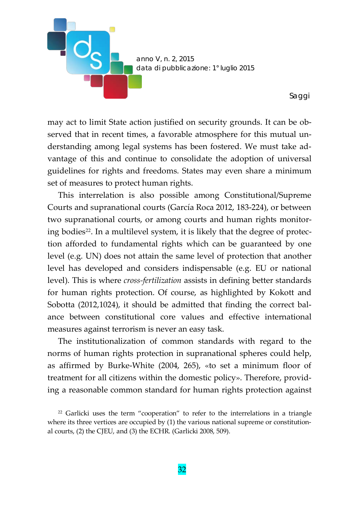

may act to limit State action justified on security grounds. It can be observed that in recent times, a favorable atmosphere for this mutual understanding among legal systems has been fostered. We must take advantage of this and continue to consolidate the adoption of universal guidelines for rights and freedoms. States may even share a minimum set of measures to protect human rights.

This interrelation is also possible among Constitutional/Supreme Courts and supranational courts (García Roca 2012, 183-224), or between two supranational courts, or among courts and human rights monitoring bodies<sup>22</sup>. In a multilevel system, it is likely that the degree of protection afforded to fundamental rights which can be guaranteed by one level (e.g. UN) does not attain the same level of protection that another level has developed and considers indispensable (e.g. EU or national level). This is where *cross-fertilization* assists in defining better standards for human rights protection. Of course, as highlighted by Kokott and Sobotta (2012,1024), it should be admitted that finding the correct balance between constitutional core values and effective international measures against terrorism is never an easy task.

The institutionalization of common standards with regard to the norms of human rights protection in supranational spheres could help, as affirmed by Burke-White (2004, 265), «to set a minimum floor of treatment for all citizens within the domestic policy». Therefore, providing a reasonable common standard for human rights protection against

<span id="page-15-0"></span><sup>22</sup> Garlicki uses the term "cooperation" to refer to the interrelations in a triangle where its three vertices are occupied by (1) the various national supreme or constitutional courts, (2) the CJEU, and (3) the ECHR. (Garlicki 2008, 509).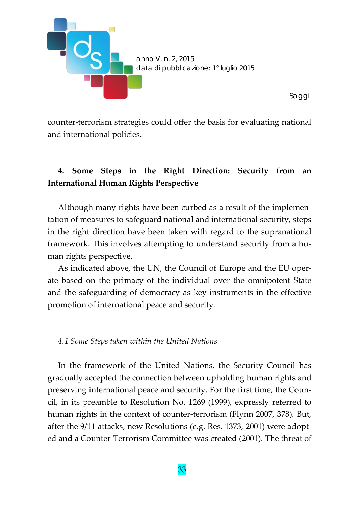

counter-terrorism strategies could offer the basis for evaluating national and international policies.

# **4. Some Steps in the Right Direction: Security from an International Human Rights Perspective**

Although many rights have been curbed as a result of the implementation of measures to safeguard national and international security, steps in the right direction have been taken with regard to the supranational framework. This involves attempting to understand security from a human rights perspective.

As indicated above, the UN, the Council of Europe and the EU operate based on the primacy of the individual over the omnipotent State and the safeguarding of democracy as key instruments in the effective promotion of international peace and security.

#### *4.1 Some Steps taken within the United Nations*

In the framework of the United Nations, the Security Council has gradually accepted the connection between upholding human rights and preserving international peace and security. For the first time, the Council, in its preamble to Resolution No. 1269 (1999), expressly referred to human rights in the context of counter-terrorism (Flynn 2007, 378). But, after the 9/11 attacks, new Resolutions (e.g. Res. 1373, 2001) were adopted and a Counter-Terrorism Committee was created (2001). The threat of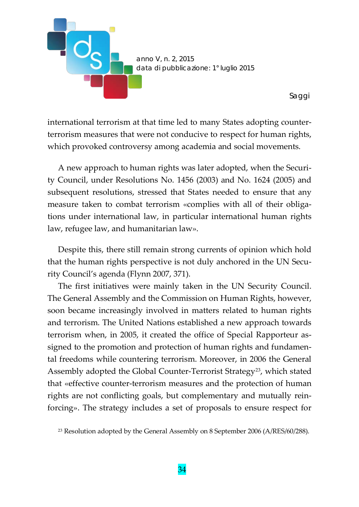

international terrorism at that time led to many States adopting counterterrorism measures that were not conducive to respect for human rights, which provoked controversy among academia and social movements.

A new approach to human rights was later adopted, when the Security Council, under Resolutions No. 1456 (2003) and No. 1624 (2005) and subsequent resolutions, stressed that States needed to ensure that any measure taken to combat terrorism «complies with all of their obligations under international law, in particular international human rights law, refugee law, and humanitarian law».

Despite this, there still remain strong currents of opinion which hold that the human rights perspective is not duly anchored in the UN Security Council's agenda (Flynn 2007, 371).

The first initiatives were mainly taken in the UN Security Council. The General Assembly and the Commission on Human Rights, however, soon became increasingly involved in matters related to human rights and terrorism. The United Nations established a new approach towards terrorism when, in 2005, it created the office of Special Rapporteur assigned to the promotion and protection of human rights and fundamental freedoms while countering terrorism. Moreover, in 2006 the General Assembly adopted the Global Counter-Terrorist Strategy<sup>23</sup>, which stated that «effective counter-terrorism measures and the protection of human rights are not conflicting goals, but complementary and mutually reinforcing». The strategy includes a set of proposals to ensure respect for

<span id="page-17-0"></span><sup>&</sup>lt;sup>23</sup> Resolution adopted by the General Assembly on 8 September 2006 (A/RES/60/288).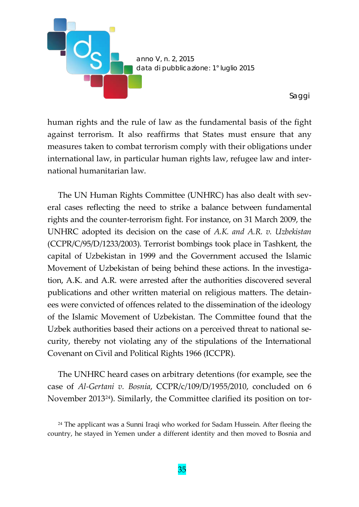

human rights and the rule of law as the fundamental basis of the fight against terrorism. It also reaffirms that States must ensure that any measures taken to combat terrorism comply with their obligations under international law, in particular human rights law, refugee law and international humanitarian law.

The UN Human Rights Committee (UNHRC) has also dealt with several cases reflecting the need to strike a balance between fundamental rights and the counter-terrorism fight. For instance, on 31 March 2009, the UNHRC adopted its decision on the case of *A.K. and A.R. v. Uzbekistan* (CCPR/C/95/D/1233/2003). Terrorist bombings took place in Tashkent, the capital of Uzbekistan in 1999 and the Government accused the Islamic Movement of Uzbekistan of being behind these actions. In the investigation, A.K. and A.R. were arrested after the authorities discovered several publications and other written material on religious matters. The detainees were convicted of offences related to the dissemination of the ideology of the Islamic Movement of Uzbekistan. The Committee found that the Uzbek authorities based their actions on a perceived threat to national security, thereby not violating any of the stipulations of the International Covenant on Civil and Political Rights 1966 (ICCPR).

The UNHRC heard cases on arbitrary detentions (for example, see the case of *Al-Gertani v. Bosnia*, CCPR/c/109/D/1955/2010, concluded on 6 November 2013[24](#page-18-0)). Similarly, the Committee clarified its position on tor-

<span id="page-18-0"></span><sup>&</sup>lt;sup>24</sup> The applicant was a Sunni Iraqi who worked for Sadam Hussein. After fleeing the country, he stayed in Yemen under a different identity and then moved to Bosnia and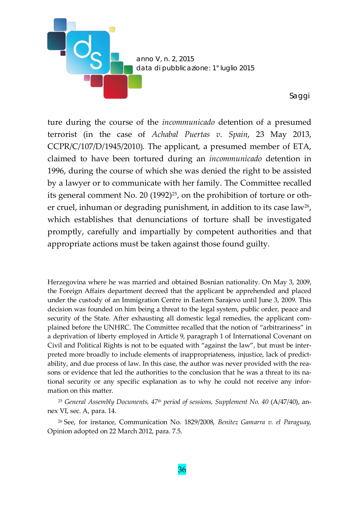

ture during the course of the *incommunicado* detention of a presumed terrorist (in the case of *Achabal Puertas v. Spain*, 23 May 2013, CCPR/C/107/D/1945/2010). The applicant, a presumed member of ETA, claimed to have been tortured during an *incommunicado* detention in 1996, during the course of which she was denied the right to be assisted by a lawyer or to communicate with her family. The Committee recalled its general comment No. 20  $(1992)^{25}$ , on the prohibition of torture or other cruel, inhuman or degrading punishment, in addition to its case law<sup>26</sup>, which establishes that denunciations of torture shall be investigated promptly, carefully and impartially by competent authorities and that appropriate actions must be taken against those found guilty.

Herzegovina where he was married and obtained Bosnian nationality. On May 3, 2009, the Foreign Affairs department decreed that the applicant be apprehended and placed under the custody of an Immigration Centre in Eastern Sarajevo until June 3, 2009. This decision was founded on him being a threat to the legal system, public order, peace and security of the State. After exhausting all domestic legal remedies, the applicant complained before the UNHRC. The Committee recalled that the notion of "arbitrariness" in a deprivation of liberty employed in Article 9, paragraph 1 of International Covenant on Civil and Political Rights is not to be equated with "against the law", but must be interpreted more broadly to include elements of inappropriateness, injustice, lack of predictability, and due process of law. In this case, the author was never provided with the reasons or evidence that led the authorities to the conclusion that he was a threat to its national security or any specific explanation as to why he could not receive any information on this matter.

<span id="page-19-0"></span><sup>25</sup> *General Assembly Documents, 47th period of sessions, Supplement No. 40* (A/47/40), annex VI, sec. A, para. 14.

<span id="page-19-1"></span><sup>26</sup> See, for instance, Communication No. 1829/2008, *Benítez Gamarra v. el Paraguay*, Opinion adopted on 22 March 2012, para. 7.5.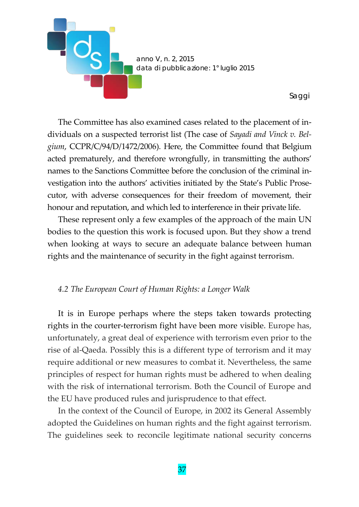

The Committee has also examined cases related to the placement of individuals on a suspected terrorist list (The case of *Sayadi and Vinck v. Belgium*, CCPR/C/94/D/1472/2006). Here, the Committee found that Belgium acted prematurely, and therefore wrongfully, in transmitting the authors' names to the Sanctions Committee before the conclusion of the criminal investigation into the authors' activities initiated by the State's Public Prosecutor, with adverse consequences for their freedom of movement, their honour and reputation, and which led to interference in their private life.

These represent only a few examples of the approach of the main UN bodies to the question this work is focused upon. But they show a trend when looking at ways to secure an adequate balance between human rights and the maintenance of security in the fight against terrorism.

#### *4.2 The European Court of Human Rights: a Longer Walk*

It is in Europe perhaps where the steps taken towards protecting rights in the courter-terrorism fight have been more visible. Europe has, unfortunately, a great deal of experience with terrorism even prior to the rise of al-Qaeda. Possibly this is a different type of terrorism and it may require additional or new measures to combat it. Nevertheless, the same principles of respect for human rights must be adhered to when dealing with the risk of international terrorism. Both the Council of Europe and the EU have produced rules and jurisprudence to that effect.

In the context of the Council of Europe, in 2002 its General Assembly adopted the Guidelines on human rights and the fight against terrorism. The guidelines seek to reconcile legitimate national security concerns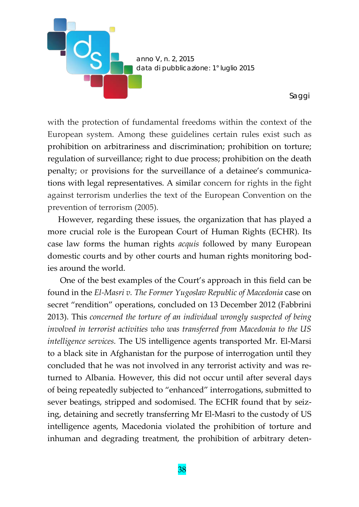

with the protection of fundamental freedoms within the context of the European system. Among these guidelines certain rules exist such as prohibition on arbitrariness and discrimination; prohibition on torture; regulation of surveillance; right to due process; prohibition on the death penalty; or provisions for the surveillance of a detainee's communications with legal representatives. A similar concern for rights in the fight against terrorism underlies the text of the European Convention on the prevention of terrorism (2005).

However, regarding these issues, the organization that has played a more crucial role is the European Court of Human Rights (ECHR). Its case law forms the human rights *acquis* followed by many European domestic courts and by other courts and human rights monitoring bodies around the world.

One of the best examples of the Court's approach in this field can be found in the *El-Masri v. The Former Yugoslav Republic of Macedonia* case on secret "rendition" operations, concluded on 13 December 2012 (Fabbrini 2013). This *concerned the torture of an individual wrongly suspected of being involved in terrorist activities who was transferred from Macedonia to the US intelligence services.* The US intelligence agents transported Mr. El-Marsi to a black site in Afghanistan for the purpose of interrogation until they concluded that he was not involved in any terrorist activity and was returned to Albania. However, this did not occur until after several days of being repeatedly subjected to "enhanced" interrogations, submitted to sever beatings, stripped and sodomised. The ECHR found that by seizing, detaining and secretly transferring Mr El-Masri to the custody of US intelligence agents, Macedonia violated the prohibition of torture and inhuman and degrading treatment, the prohibition of arbitrary deten-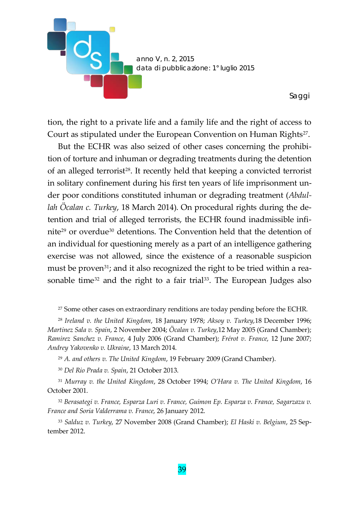

tion, the right to a private life and a family life and the right of access to Court as stipulated under the European Convention on Human Rights<sup>27</sup>.

But the ECHR was also seized of other cases concerning the prohibition of torture and inhuman or degrading treatments during the detention of an alleged terrorist<sup>28</sup>. It recently held that keeping a convicted terrorist in solitary confinement during his first ten years of life imprisonment under poor conditions constituted inhuman or degrading treatment (*Abdullah Öcalan c. Turkey*, 18 March 2014). On procedural rights during the detention and trial of alleged terrorists, the ECHR found inadmissible infinit[e29](#page-22-2) or overdue[30](#page-22-3) detentions. The Convention held that the detention of an individual for questioning merely as a part of an intelligence gathering exercise was not allowed, since the existence of a reasonable suspicion must be proven<sup>31</sup>; and it also recognized the right to be tried within a rea-sonable time<sup>[32](#page-22-5)</sup> and the right to a fair trial<sup>33</sup>. The European Judges also

<sup>27</sup> Some other cases on extraordinary renditions are today pending before the ECHR.

<span id="page-22-1"></span><span id="page-22-0"></span><sup>28</sup> *Ireland v. the United Kingdom*, 18 January 1978; *Aksoy v. Turkey*,18 December 1996; *Martinez Sala v. Spain*, 2 November 2004; *Öcalan v. Turkey*,12 May 2005 (Grand Chamber); *Ramirez Sanchez v. France*, 4 July 2006 (Grand Chamber); *Frérot v. France*, 12 June 2007; *Andrey Yakovenko v. Ukraine*, 13 March 2014.

<sup>29</sup> *A. and others v. The United Kingdom*, 19 February 2009 (Grand Chamber).

<sup>30</sup> *Del Rio Prada v. Spain*, 21 October 2013.

<span id="page-22-4"></span><span id="page-22-3"></span><span id="page-22-2"></span><sup>31</sup> *Murray v. the United Kingdom*, 28 October 1994; *O'Hara v. The United Kingdom*, 16 October 2001.

<span id="page-22-5"></span><sup>32</sup> *Berasategi v. France, Esparza Luri v. France, Guimon Ep. Esparza v. France, Sagarzazu v. France and Soria Valderrama v. France*, 26 January 2012.

<span id="page-22-6"></span><sup>33</sup> *Salduz v. Turkey*, 27 November 2008 (Grand Chamber); *El Haski v. Belgium*, 25 September 2012.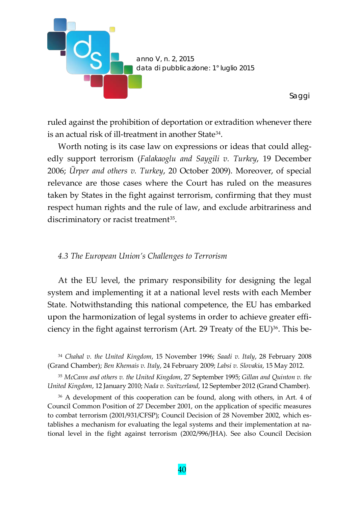

ruled against the prohibition of deportation or extradition whenever there is an actual risk of ill-treatment in another State[34](#page-23-0).

Worth noting is its case law on expressions or ideas that could allegedly support terrorism (*Falakaoglu and Saygili v. Turkey*, 19 December 2006; *Ürper and others v. Turkey*, 20 October 2009). Moreover, of special relevance are those cases where the Court has ruled on the measures taken by States in the fight against terrorism, confirming that they must respect human rights and the rule of law, and exclude arbitrariness and discriminatory or racist treatment<sup>35</sup>.

#### *4.3 The European Union's Challenges to Terrorism*

At the EU level, the primary responsibility for designing the legal system and implementing it at a national level rests with each Member State. Notwithstanding this national competence, the EU has embarked upon the harmonization of legal systems in order to achieve greater effi-ciency in the fight against terrorism (Art. 29 Treaty of the EU)<sup>[36](#page-23-2)</sup>. This be-

<span id="page-23-0"></span><sup>34</sup> *Chahal v. the United Kingdom*, 15 November 1996; *Saadi v. Italy*, 28 February 2008 (Grand Chamber); *Ben Khemais v. Italy*, 24 February 2009; *Labsi v. Slovakia*, 15 May 2012.

<span id="page-23-1"></span><sup>35</sup> *McCann and others v. the United Kingdom*, 27 September 1995; *Gillan and Quinton v. the United Kingdom*, 12 January 2010; *Nada v. Switzerland*, 12 September 2012 (Grand Chamber).

<span id="page-23-2"></span><sup>36</sup> A development of this cooperation can be found, along with others, in Art. 4 of Council Common Position of 27 December 2001, on the application of specific measures to combat terrorism (2001/931/CFSP); Council Decision of 28 November 2002, which establishes a mechanism for evaluating the legal systems and their implementation at national level in the fight against terrorism (2002/996/JHA). See also Council Decision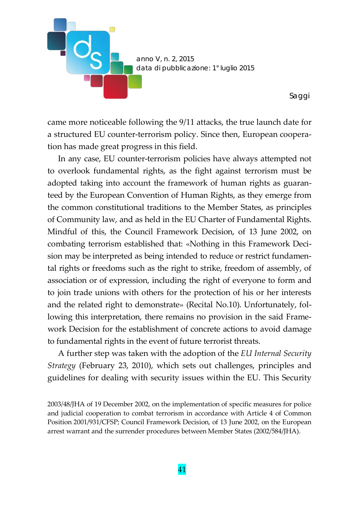

came more noticeable following the 9/11 attacks, the true launch date for a structured EU counter-terrorism policy. Since then, European cooperation has made great progress in this field.

In any case, EU counter-terrorism policies have always attempted not to overlook fundamental rights, as the fight against terrorism must be adopted taking into account the framework of human rights as guaranteed by the European Convention of Human Rights, as they emerge from the common constitutional traditions to the Member States, as principles of Community law, and as held in the EU Charter of Fundamental Rights. Mindful of this, the Council Framework Decision, of 13 June 2002, on combating terrorism established that: «Nothing in this Framework Decision may be interpreted as being intended to reduce or restrict fundamental rights or freedoms such as the right to strike, freedom of assembly, of association or of expression, including the right of everyone to form and to join trade unions with others for the protection of his or her interests and the related right to demonstrate» (Recital No.10). Unfortunately, following this interpretation, there remains no provision in the said Framework Decision for the establishment of concrete actions to avoid damage to fundamental rights in the event of future terrorist threats.

A further step was taken with the adoption of the *EU Internal Security Strategy* (February 23, 2010), which sets out challenges, principles and guidelines for dealing with security issues within the EU. This Security

2003/48/JHA of 19 December 2002, on the implementation of specific measures for police and judicial cooperation to combat terrorism in accordance with Article 4 of Common Position 2001/931/CFSP; Council Framework Decision, of 13 June 2002, on the European arrest warrant and the surrender procedures between Member States (2002/584/JHA).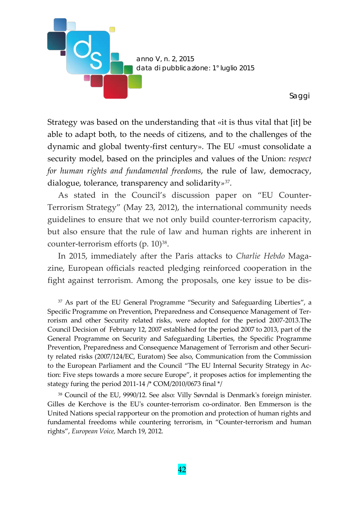

Strategy was based on the understanding that «it is thus vital that [it] be able to adapt both, to the needs of citizens, and to the challenges of the dynamic and global twenty-first century». The EU «must consolidate a security model, based on the principles and values of the Union: *respect for human rights and fundamental freedoms*, the rule of law, democracy, dialogue, tolerance, transparency and solidarity*»*[37](#page-25-0)*.*

As stated in the Council's discussion paper on "EU Counter-Terrorism Strategy" (May 23, 2012), the international community needs guidelines to ensure that we not only build counter-terrorism capacity, but also ensure that the rule of law and human rights are inherent in counter-terrorism efforts (p. 10)<sup>[38](#page-25-1)</sup>.

In 2015, immediately after the Paris attacks to *Charlie Hebdo* Magazine, European officials reacted pledging reinforced cooperation in the fight against terrorism. Among the proposals, one key issue to be dis-

<span id="page-25-0"></span><sup>37</sup> As part of the EU General Programme "Security and Safeguarding Liberties", a Specific Programme on Prevention, Preparedness and Consequence Management of Terrorism and other Security related risks, were adopted for the period 2007-2013.The Council Decision of February 12, 2007 established for the period 2007 to 2013, part of the General Programme on Security and Safeguarding Liberties, the Specific Programme Prevention, Preparedness and Consequence Management of Terrorism and other Security related risks (2007/124/EC, Euratom) See also, Communication from the Commission to the European Parliament and the Council "The EU Internal Security Strategy in Action: Five steps towards a more secure Europe", it proposes actios for implementing the stategy furing the period 2011-14 /\* COM/2010/0673 final \*/

<span id="page-25-1"></span><sup>38</sup> Council of the EU, 9990/12. See also: Villy Søvndal is Denmark's foreign minister. Gilles de Kerchove is the EU's counter-terrorism co-ordinator. Ben Emmerson is the United Nations special rapporteur on the promotion and protection of human rights and fundamental freedoms while countering terrorism, in "Counter-terrorism and human rights", *European Voice,* March 19, 2012.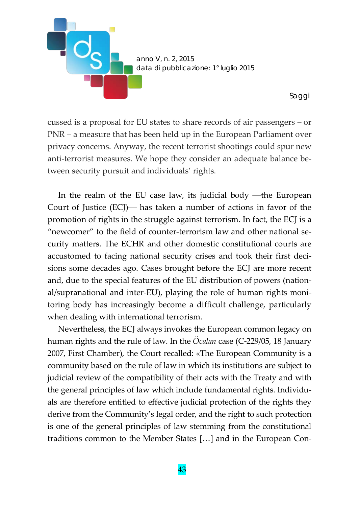

cussed is a proposal for EU states to share records of air passengers – or PNR – a measure that has been held up in the European Parliament over privacy concerns. Anyway, the recent terrorist shootings could spur new anti-terrorist measures. We hope they consider an adequate balance between security pursuit and individuals' rights.

In the realm of the EU case law, its judicial body —the European Court of Justice  $(EC)$ — has taken a number of actions in favor of the promotion of rights in the struggle against terrorism. In fact, the ECJ is a "newcomer" to the field of counter-terrorism law and other national security matters. The ECHR and other domestic constitutional courts are accustomed to facing national security crises and took their first decisions some decades ago. Cases brought before the ECJ are more recent and, due to the special features of the EU distribution of powers (national/supranational and inter-EU), playing the role of human rights monitoring body has increasingly become a difficult challenge, particularly when dealing with international terrorism.

Nevertheless, the ECJ always invokes the European common legacy on human rights and the rule of law. In the *Öcalan* case (C-229/05, 18 January 2007, First Chamber), the Court recalled: «The European Community is a community based on the rule of law in which its institutions are subject to judicial review of the compatibility of their acts with the Treaty and with the general principles of law which include fundamental rights. Individuals are therefore entitled to effective judicial protection of the rights they derive from the Community's legal order, and the right to such protection is one of the general principles of law stemming from the constitutional traditions common to the Member States […] and in the European Con-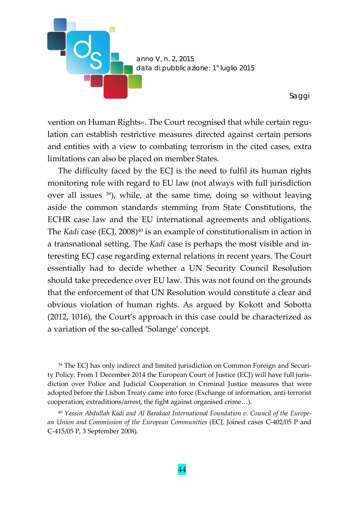

vention on Human Rights». The Court recognised that while certain regulation can establish restrictive measures directed against certain persons and entities with a view to combating terrorism in the cited cases, extra limitations can also be placed on member States.

The difficulty faced by the ECJ is the need to fulfil its human rights monitoring role with regard to EU law (not always with full jurisdiction over all issues [39](#page-27-0)), while, at the same time, doing so without leaving aside the common standards stemming from State Constitutions, the ECHR case law and the EU international agreements and obligations. The *Kadi* case (ECJ, 2008)<sup>40</sup> is an example of constitutionalism in action in a transnational setting. The *Kadi* case is perhaps the most visible and interesting ECJ case regarding external relations in recent years. The Court essentially had to decide whether a UN Security Council Resolution should take precedence over EU law. This was not found on the grounds that the enforcement of that UN Resolution would constitute a clear and obvious violation of human rights. As argued by Kokott and Sobotta (2012, 1016), the Court's approach in this case could be characterized as a variation of the so-called 'Solange' concept.

<span id="page-27-0"></span><sup>39</sup> The ECJ has only indirect and limited jurisdiction on Common Foreign and Security Policy. From 1 December 2014 the European Court of Justice (ECJ) will have full jurisdiction over Police and Judicial Cooperation in Criminal Justice measures that were adopted before the Lisbon Treaty came into force (Exchange of information, anti-terrorist cooperation, extraditions/arrest, the fight against organised crime…).

<span id="page-27-1"></span><sup>40</sup> *Yassin Abdullah Kadi and Al Barakaat International Foundation v. Council of the European Union and Commission of the European Communities* (ECJ, Joined cases C-402/05 P and C-415/05 P, 3 September 2008).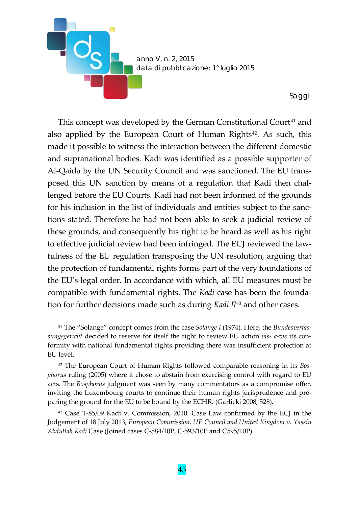

This concept was developed by the German Constitutional Court<sup>[41](#page-28-0)</sup> and also applied by the European Court of Human Rights<sup>[42](#page-28-1)</sup>. As such, this made it possible to witness the interaction between the different domestic and supranational bodies. Kadi was identified as a possible supporter of Al-Qaida by the UN Security Council and was sanctioned. The EU transposed this UN sanction by means of a regulation that Kadi then challenged before the EU Courts. Kadi had not been informed of the grounds for his inclusion in the list of individuals and entities subject to the sanctions stated. Therefore he had not been able to seek a judicial review of these grounds, and consequently his right to be heard as well as his right to effective judicial review had been infringed. The ECJ reviewed the lawfulness of the EU regulation transposing the UN resolution, arguing that the protection of fundamental rights forms part of the very foundations of the EU's legal order. In accordance with which, all EU measures must be compatible with fundamental rights. The *Kadi* case has been the foundation for further decisions made such as during *Kadi II*[43](#page-28-2) and other cases.

<span id="page-28-0"></span><sup>41</sup> The "Solange" concept comes from the case *Solange I* (1974). Here, the *Bundesverfassungsgericht* decided to reserve for itself the right to review EU action *vis- a-vis* its conformity with national fundamental rights providing there was insufficient protection at EU level.

<span id="page-28-1"></span><sup>42</sup> The European Court of Human Rights followed comparable reasoning in its *Bosphorus* ruling (2005) where it chose to abstain from exercising control with regard to EU acts. The *Bosphorus* judgment was seen by many commentators as a compromise offer, inviting the Luxembourg courts to continue their human rights jurisprudence and preparing the ground for the EU to be bound by the ECHR. (Garlicki 2008, 528).

<span id="page-28-2"></span><sup>43</sup> Case T-85/09 Kadi v. Commission, 2010. Case Law confirmed by the ECJ in the Judgement of 18 July 2013, *European Commission, UE Council and United Kingdom v. Yassin Abdullah Kadi* Case (Joined cases C-584/10P, C-593/10P and C595/10P)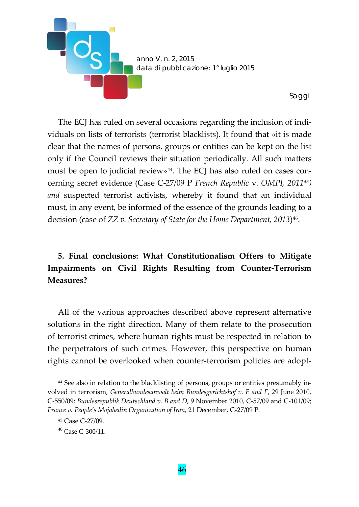

The ECJ has ruled on several occasions regarding the inclusion of individuals on lists of terrorists (terrorist blacklists). It found that «it is made clear that the names of persons, groups or entities can be kept on the list only if the Council reviews their situation periodically. All such matters must be open to judicial review» $44$ . The ECJ has also ruled on cases concerning secret evidence (Case C-27/09 P *French Republic* v. *OMPI, 2011[45\)](#page-29-1) and* suspected terrorist activists, whereby it found that an individual must, in any event, be informed of the essence of the grounds leading to a decision (case of *ZZ v. Secretary of State for the Home Department, 2013*[\)46](#page-29-2).

# **5. Final conclusions: What Constitutionalism Offers to Mitigate Impairments on Civil Rights Resulting from Counter-Terrorism Measures?**

All of the various approaches described above represent alternative solutions in the right direction. Many of them relate to the prosecution of terrorist crimes, where human rights must be respected in relation to the perpetrators of such crimes. However, this perspective on human rights cannot be overlooked when counter-terrorism policies are adopt-

<span id="page-29-0"></span><sup>44</sup> See also in relation to the blacklisting of persons, groups or entities presumably involved in terrorism, *Generalbundesanwalt beim Bundesgerichtshof v. E and F*, 29 June 2010, C-550/09; *Bundesrepublik Deutschland v. B and D*, 9 November 2010, C-57/09 and C-101/09; *France v. People's Mojahedin Organization of Iran*, 21 December, C-27/09 P.

<span id="page-29-1"></span><sup>45</sup> Case C-27/09.

<span id="page-29-2"></span> $46$  Case C-300/11.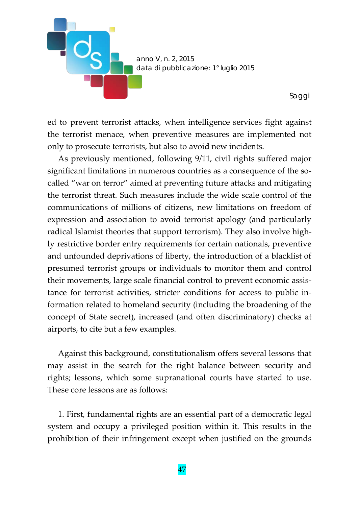

ed to prevent terrorist attacks, when intelligence services fight against the terrorist menace, when preventive measures are implemented not only to prosecute terrorists, but also to avoid new incidents.

As previously mentioned, following 9/11, civil rights suffered major significant limitations in numerous countries as a consequence of the socalled "war on terror" aimed at preventing future attacks and mitigating the terrorist threat. Such measures include the wide scale control of the communications of millions of citizens, new limitations on freedom of expression and association to avoid terrorist apology (and particularly radical Islamist theories that support terrorism). They also involve highly restrictive border entry requirements for certain nationals, preventive and unfounded deprivations of liberty, the introduction of a blacklist of presumed terrorist groups or individuals to monitor them and control their movements, large scale financial control to prevent economic assistance for terrorist activities, stricter conditions for access to public information related to homeland security (including the broadening of the concept of State secret), increased (and often discriminatory) checks at airports, to cite but a few examples.

Against this background, constitutionalism offers several lessons that may assist in the search for the right balance between security and rights; lessons, which some supranational courts have started to use. These core lessons are as follows:

1. First, fundamental rights are an essential part of a democratic legal system and occupy a privileged position within it. This results in the prohibition of their infringement except when justified on the grounds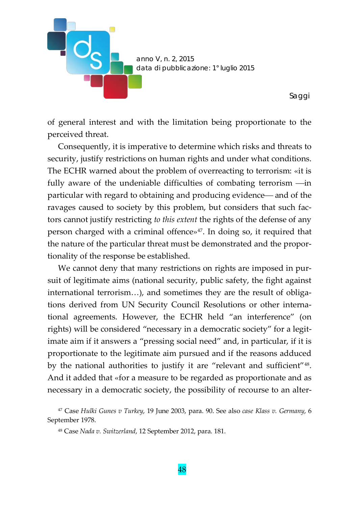

of general interest and with the limitation being proportionate to the perceived threat.

Consequently, it is imperative to determine which risks and threats to security, justify restrictions on human rights and under what conditions. The ECHR warned about the problem of overreacting to terrorism: «it is fully aware of the undeniable difficulties of combating terrorism  $\frac{1}{\cdots}$ particular with regard to obtaining and producing evidence— and of the ravages caused to society by this problem, but considers that such factors cannot justify restricting *to this extent* the rights of the defense of any person charged with a criminal offence $x^{47}$ . In doing so, it required that the nature of the particular threat must be demonstrated and the proportionality of the response be established.

We cannot deny that many restrictions on rights are imposed in pursuit of legitimate aims (national security, public safety, the fight against international terrorism…), and sometimes they are the result of obligations derived from UN Security Council Resolutions or other international agreements. However, the ECHR held "an interference" (on rights) will be considered "necessary in a democratic society" for a legitimate aim if it answers a "pressing social need" and, in particular, if it is proportionate to the legitimate aim pursued and if the reasons adduced by the national authorities to justify it are "relevant and sufficient"[48.](#page-31-1) And it added that «for a measure to be regarded as proportionate and as necessary in a democratic society, the possibility of recourse to an alter-

<span id="page-31-1"></span><span id="page-31-0"></span><sup>47</sup> Case *Hulki Gunes v Turkey*, 19 June 2003, para. 90. See also *case Klass v. Germany*, 6 September 1978.

<sup>48</sup> Case *Nada v. Switzerland*, 12 September 2012, para. 181.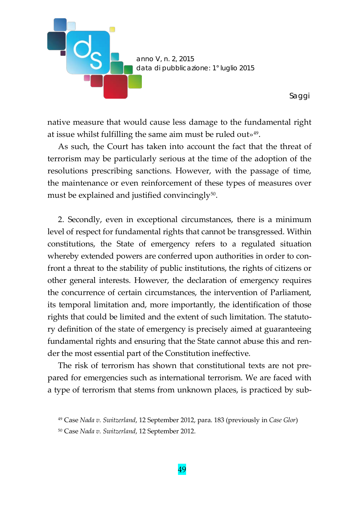

native measure that would cause less damage to the fundamental right at issue whilst fulfilling the same aim must be ruled out»[49](#page-32-0).

As such, the Court has taken into account the fact that the threat of terrorism may be particularly serious at the time of the adoption of the resolutions prescribing sanctions. However, with the passage of time, the maintenance or even reinforcement of these types of measures over must be explained and justified convincingly<sup>50</sup>.

2. Secondly, even in exceptional circumstances, there is a minimum level of respect for fundamental rights that cannot be transgressed. Within constitutions, the State of emergency refers to a regulated situation whereby extended powers are conferred upon authorities in order to confront a threat to the stability of public institutions, the rights of citizens or other general interests. However, the declaration of emergency requires the concurrence of certain circumstances, the intervention of Parliament, its temporal limitation and, more importantly, the identification of those rights that could be limited and the extent of such limitation. The statutory definition of the state of emergency is precisely aimed at guaranteeing fundamental rights and ensuring that the State cannot abuse this and render the most essential part of the Constitution ineffective.

The risk of terrorism has shown that constitutional texts are not prepared for emergencies such as international terrorism. We are faced with a type of terrorism that stems from unknown places, is practiced by sub-

<span id="page-32-0"></span><sup>49</sup> Case *Nada v. Switzerland*, 12 September 2012, para. 183 (previously in *Case Glor*)

<span id="page-32-1"></span><sup>50</sup> Case *Nada v. Switzerland*, 12 September 2012.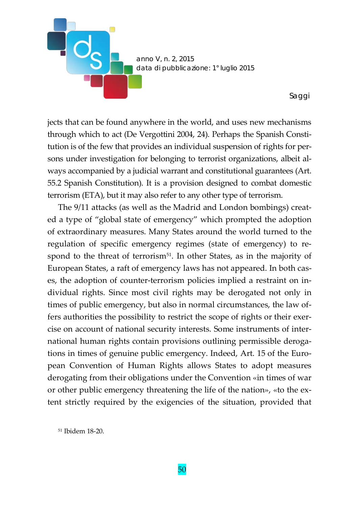

jects that can be found anywhere in the world, and uses new mechanisms through which to act (De Vergottini 2004, 24). Perhaps the Spanish Constitution is of the few that provides an individual suspension of rights for persons under investigation for belonging to terrorist organizations, albeit always accompanied by a judicial warrant and constitutional guarantees (Art. 55.2 Spanish Constitution). It is a provision designed to combat domestic terrorism (ETA), but it may also refer to any other type of terrorism.

The 9/11 attacks (as well as the Madrid and London bombings) created a type of "global state of emergency" which prompted the adoption of extraordinary measures. Many States around the world turned to the regulation of specific emergency regimes (state of emergency) to re-spond to the threat of terrorism<sup>[51](#page-33-0)</sup>. In other States, as in the majority of European States, a raft of emergency laws has not appeared. In both cases, the adoption of counter-terrorism policies implied a restraint on individual rights. Since most civil rights may be derogated not only in times of public emergency, but also in normal circumstances, the law offers authorities the possibility to restrict the scope of rights or their exercise on account of national security interests. Some instruments of international human rights contain provisions outlining permissible derogations in times of genuine public emergency. Indeed, Art. 15 of the European Convention of Human Rights allows States to adopt measures derogating from their obligations under the Convention «in times of war or other public emergency threatening the life of the nation», «to the extent strictly required by the exigencies of the situation, provided that

<span id="page-33-0"></span><sup>51</sup> Ibidem 18-20.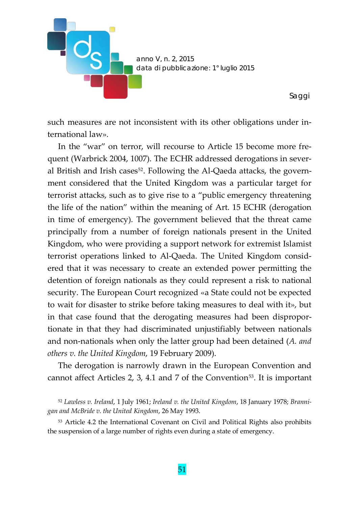

such measures are not inconsistent with its other obligations under international law».

In the "war" on terror, will recourse to Article 15 become more frequent (Warbrick 2004, 1007). The ECHR addressed derogations in sever-al British and Irish cases<sup>[52](#page-34-0)</sup>. Following the Al-Qaeda attacks, the government considered that the United Kingdom was a particular target for terrorist attacks, such as to give rise to a "public emergency threatening the life of the nation" within the meaning of Art. 15 ECHR (derogation in time of emergency). The government believed that the threat came principally from a number of foreign nationals present in the United Kingdom, who were providing a support network for extremist Islamist terrorist operations linked to Al-Qaeda. The United Kingdom considered that it was necessary to create an extended power permitting the detention of foreign nationals as they could represent a risk to national security. The European Court recognized «a State could not be expected to wait for disaster to strike before taking measures to deal with it», but in that case found that the derogating measures had been disproportionate in that they had discriminated unjustifiably between nationals and non-nationals when only the latter group had been detained (*A. and others v. the United Kingdom*, 19 February 2009).

The derogation is narrowly drawn in the European Convention and cannot affect Articles 2, 3, 4.1 and 7 of the Convention<sup>53</sup>. It is important

<span id="page-34-0"></span><sup>52</sup> *Lawless v. Ireland*, 1 July 1961; *Ireland v. the United Kingdom*, 18 January 1978; *Brannigan and McBride v. the United Kingdom*, 26 May 1993.

<span id="page-34-1"></span><sup>53</sup> Article 4.2 the International Covenant on Civil and Political Rights also prohibits the suspension of a large number of rights even during a state of emergency.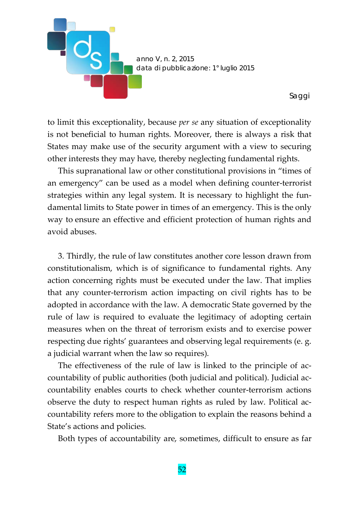

to limit this exceptionality, because *per se* any situation of exceptionality is not beneficial to human rights. Moreover, there is always a risk that States may make use of the security argument with a view to securing other interests they may have, thereby neglecting fundamental rights.

This supranational law or other constitutional provisions in "times of an emergency" can be used as a model when defining counter-terrorist strategies within any legal system. It is necessary to highlight the fundamental limits to State power in times of an emergency. This is the only way to ensure an effective and efficient protection of human rights and avoid abuses.

3. Thirdly, the rule of law constitutes another core lesson drawn from constitutionalism, which is of significance to fundamental rights. Any action concerning rights must be executed under the law. That implies that any counter-terrorism action impacting on civil rights has to be adopted in accordance with the law. A democratic State governed by the rule of law is required to evaluate the legitimacy of adopting certain measures when on the threat of terrorism exists and to exercise power respecting due rights' guarantees and observing legal requirements (e. g. a judicial warrant when the law so requires).

The effectiveness of the rule of law is linked to the principle of accountability of public authorities (both judicial and political). Judicial accountability enables courts to check whether counter-terrorism actions observe the duty to respect human rights as ruled by law. Political accountability refers more to the obligation to explain the reasons behind a State's actions and policies.

Both types of accountability are, sometimes, difficult to ensure as far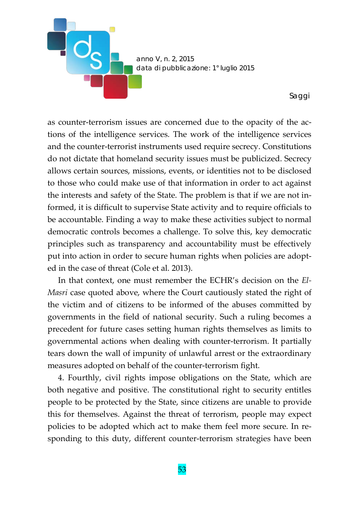

as counter-terrorism issues are concerned due to the opacity of the actions of the intelligence services. The work of the intelligence services and the counter-terrorist instruments used require secrecy. Constitutions do not dictate that homeland security issues must be publicized. Secrecy allows certain sources, missions, events, or identities not to be disclosed to those who could make use of that information in order to act against the interests and safety of the State. The problem is that if we are not informed, it is difficult to supervise State activity and to require officials to be accountable. Finding a way to make these activities subject to normal democratic controls becomes a challenge. To solve this, key democratic principles such as transparency and accountability must be effectively put into action in order to secure human rights when policies are adopted in the case of threat (Cole et al. 2013).

In that context, one must remember the ECHR's decision on the *El-Masri* case quoted above, where the Court cautiously stated the right of the victim and of citizens to be informed of the abuses committed by governments in the field of national security. Such a ruling becomes a precedent for future cases setting human rights themselves as limits to governmental actions when dealing with counter-terrorism. It partially tears down the wall of impunity of unlawful arrest or the extraordinary measures adopted on behalf of the counter-terrorism fight.

4. Fourthly, civil rights impose obligations on the State, which are both negative and positive. The constitutional right to security entitles people to be protected by the State, since citizens are unable to provide this for themselves. Against the threat of terrorism, people may expect policies to be adopted which act to make them feel more secure. In responding to this duty, different counter-terrorism strategies have been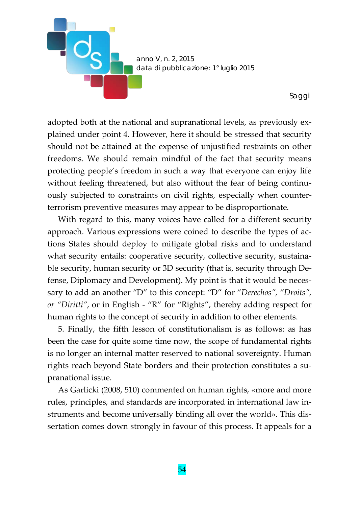

adopted both at the national and supranational levels, as previously explained under point 4. However, here it should be stressed that security should not be attained at the expense of unjustified restraints on other freedoms. We should remain mindful of the fact that security means protecting people's freedom in such a way that everyone can enjoy life without feeling threatened, but also without the fear of being continuously subjected to constraints on civil rights, especially when counterterrorism preventive measures may appear to be disproportionate.

With regard to this, many voices have called for a different security approach. Various expressions were coined to describe the types of actions States should deploy to mitigate global risks and to understand what security entails: cooperative security, collective security, sustainable security, human security or 3D security (that is, security through Defense, Diplomacy and Development). My point is that it would be necessary to add an another "D" to this concept: "D" for "*Derechos",* "*Droits", or "Diritti"*, or in English - "R" for "Rights", thereby adding respect for human rights to the concept of security in addition to other elements.

5. Finally, the fifth lesson of constitutionalism is as follows: as has been the case for quite some time now, the scope of fundamental rights is no longer an internal matter reserved to national sovereignty. Human rights reach beyond State borders and their protection constitutes a supranational issue.

As Garlicki (2008, 510) commented on human rights, «more and more rules, principles, and standards are incorporated in international law instruments and become universally binding all over the world». This dissertation comes down strongly in favour of this process. It appeals for a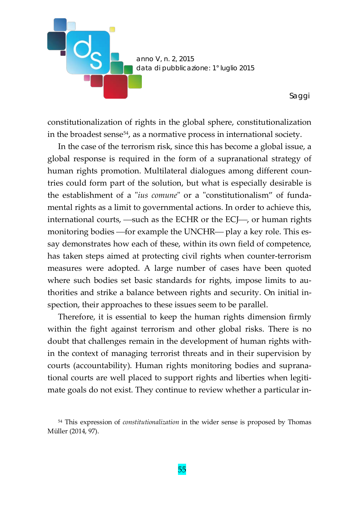

constitutionalization of rights in the global sphere, constitutionalization in the broadest sense $54$ , as a normative process in international society.

In the case of the terrorism risk, since this has become a global issue, a global response is required in the form of a supranational strategy of human rights promotion. Multilateral dialogues among different countries could form part of the solution, but what is especially desirable is the establishment of a "*ius comune*" or a "constitutionalism" of fundamental rights as a limit to governmental actions. In order to achieve this, international courts,  $\rightarrow$  such as the ECHR or the ECJ $\rightarrow$ , or human rights monitoring bodies — for example the UNCHR— play a key role. This essay demonstrates how each of these, within its own field of competence, has taken steps aimed at protecting civil rights when counter-terrorism measures were adopted. A large number of cases have been quoted where such bodies set basic standards for rights, impose limits to authorities and strike a balance between rights and security. On initial inspection, their approaches to these issues seem to be parallel.

Therefore, it is essential to keep the human rights dimension firmly within the fight against terrorism and other global risks. There is no doubt that challenges remain in the development of human rights within the context of managing terrorist threats and in their supervision by courts (accountability). Human rights monitoring bodies and supranational courts are well placed to support rights and liberties when legitimate goals do not exist. They continue to review whether a particular in-

<span id="page-38-0"></span><sup>54</sup> This expression of *constitutionalization* in the wider sense is proposed by Thomas Müller (2014, 97).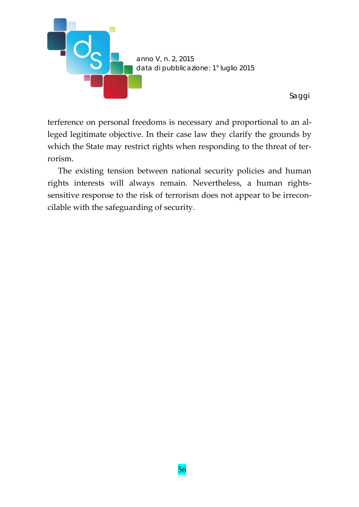

*Saggi*

terference on personal freedoms is necessary and proportional to an alleged legitimate objective. In their case law they clarify the grounds by which the State may restrict rights when responding to the threat of terrorism.

The existing tension between national security policies and human rights interests will always remain. Nevertheless, a human rightssensitive response to the risk of terrorism does not appear to be irreconcilable with the safeguarding of security.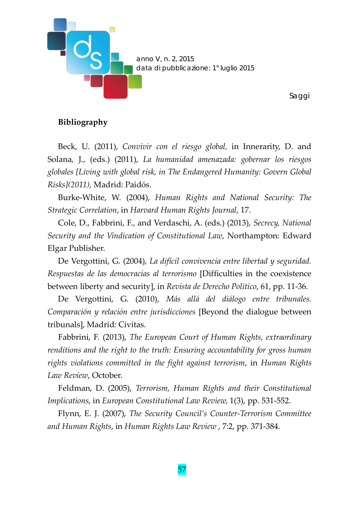

### **Bibliography**

Beck, U. (2011), *Convivir con el riesgo global,* in Innerarity, D. and Solana, J., (eds.) (2011), *La humanidad amenazada: gobernar los riesgos globales [Living with global risk, in The Endangered Humanity: Govern Global Risks](2011),* Madrid: Paidós.

Burke-White, W. (2004), *Human Rights and National Security: The Strategic Correlation*, in *Harvard Human Rights Journal*, 17.

Cole, D., Fabbrini, F., and Verdaschi, A. (eds.) (2013), *Secrecy, National Security and the Vindication of Constitutional Law*, Northampton: Edward Elgar Publisher.

De Vergottini, G. (2004), *La difícil convivencia entre libertad y seguridad. Respuestas de las democracias al terrorismo* [Difficulties in the coexistence between liberty and security], in *Revista de Derecho Político*, 61, pp. 11-36.

De Vergottini, G. (2010), *Más allá del diálogo entre tribunales. Comparación y relación entre jurisdicciones* [Beyond the dialogue between tribunals], Madrid: Civitas.

Fabbrini, F. (2013), *The European Court of Human Rights, extraordinary renditions and the right to the truth: Ensuring accountability for gross human rights violations committed in the fight against terrorism*, in *Human Rights Law Review*, October.

Feldman, D. (2005), *Terrorism, Human Rights and their Constitutional Implications*, in *European Constitutional Law Review,* 1(3), pp*.* 531-552.

Flynn, E. J. (2007), *The Security Council's Counter-Terrorism Committee and Human Rights*, in *Human Rights Law Review* , 7:2, pp. 371-384.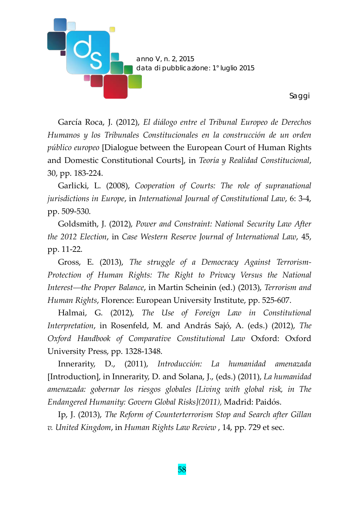

García Roca, J. (2012), *El diálogo entre el Tribunal Europeo de Derechos Humanos y los Tribunales Constitucionales en la construcción de un orden público europeo* [Dialogue between the European Court of Human Rights and Domestic Constitutional Courts], in *Teoría y Realidad Constitucional*, 30, pp. 183-224.

Garlicki, L. (2008), *Cooperation of Courts: The role of supranational jurisdictions in Europe*, in *International Journal of Constitutional Law*, 6: 3-4, pp. 509-530.

Goldsmith, J. (2012), *Power and Constraint: National Security Law After the 2012 Election*, in *Case Western Reserve Journal of International Law*, 45, pp. 11-22.

Gross, E. (2013), *The struggle of a Democracy Against Terrorism-Protection of Human Rights: The Right to Privacy Versus the National Interestthe Proper Balance*, in Martin Scheinin (ed.) (2013), *Terrorism and Human Rights*, Florence: European University Institute, pp. 525-607.

Halmai, G. (2012), *The Use of Foreign Law in Constitutional Interpretation*, in Rosenfeld, M. and András Sajó, A. (eds.) (2012), *The Oxford Handbook of Comparative Constitutional Law* Oxford: Oxford University Press, pp. 1328-1348.

Innerarity, D., (2011), *Introducción: La humanidad amenazada* [Introduction], in Innerarity, D. and Solana, J., (eds.) (2011), *La humanidad amenazada: gobernar los riesgos globales [Living with global risk, in The Endangered Humanity: Govern Global Risks](2011),* Madrid: Paidós.

Ip, J. (2013), *The Reform of Counterterrorism Stop and Search after Gillan v. United Kingdom*, in *Human Rights Law Review* , 14, pp. 729 et sec.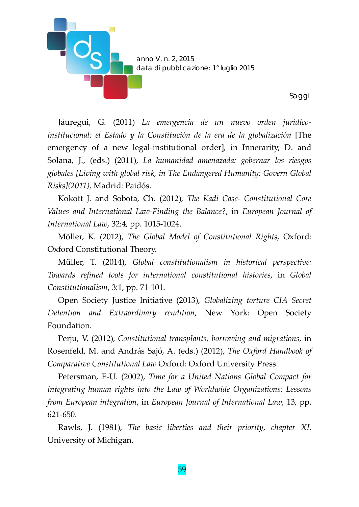

Jáuregui, G. (2011) *La emergencia de un nuevo orden jurídicoinstitucional: el Estado y la Constitución de la era de la globalización* [The emergency of a new legal-institutional order]*,* in Innerarity, D. and Solana, J., (eds.) (2011), *La humanidad amenazada: gobernar los riesgos globales [Living with global risk, in The Endangered Humanity: Govern Global Risks](2011),* Madrid: Paidós.

Kokott J. and Sobota, Ch. (2012), *The Kadi Case- Constitutional Core Values and International Law-Finding the Balance?*, in *European Journal of International Law*, 32:4, pp. 1015-1024.

Möller, K. (2012), *The Global Model of Constitutional Rights*, Oxford: Oxford Constitutional Theory.

Müller, T. (2014), *Global constitutionalism in historical perspective: Towards refined tools for international constitutional histories*, in *Global Constitutionalism*, 3:1, pp. 71-101.

Open Society Justice Initiative (2013), *Globalizing torture CIA Secret Detention and Extraordinary rendition*, New York: Open Society Foundation.

Perju, V. (2012), *Constitutional transplants, borrowing and migrations*, in Rosenfeld, M. and András Sajó, A. (eds.) (2012), *The Oxford Handbook of Comparative Constitutional Law* Oxford: Oxford University Press.

Petersman, E-U. (2002), *Time for a United Nations Global Compact for integrating human rights into the Law of Worldwide Organizations: Lessons from European integration*, in *European Journal of International Law*, 13, pp. 621-650.

Rawls, J. (1981), *The basic liberties and their priority*, *chapter XI*, University of Michigan.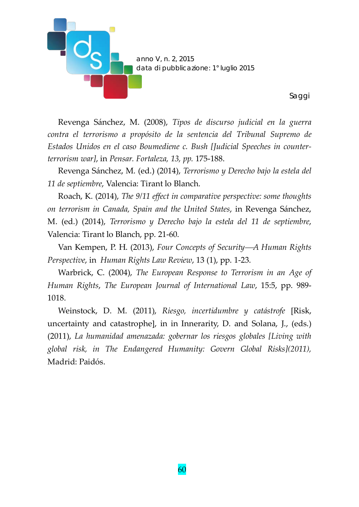

Revenga Sánchez, M. (2008), *Tipos de discurso judicial en la guerra contra el terrorismo a propósito de la sentencia del Tribunal Supremo de Estados Unidos en el caso Boumediene c. Bush [Judicial Speeches in counterterrorism war]*, in *Pensar. Fortaleza, 13, pp.* 175-188.

Revenga Sánchez, M. (ed.) (2014), *Terrorismo y Derecho bajo la estela del 11 de septiembre*, Valencia: Tirant lo Blanch.

Roach, K. (2014), *The 9/11 effect in comparative perspective: some thoughts on terrorism in Canada, Spain and the United States*, in Revenga Sánchez, M. (ed.) (2014), *Terrorismo y Derecho bajo la estela del 11 de septiembre*, Valencia: Tirant lo Blanch, pp. 21-60.

Van Kempen, P. H. (2013), *Four Concepts of Security—A Human Rights Perspective*, in *Human Rights Law Review*, 13 (1), pp. 1-23.

Warbrick, C. (2004), *The European Response to Terrorism in an Age of Human Rights*, *The European Journal of International Law*, 15:5, pp. 989- 1018.

Weinstock, D. M. (2011), *Riesgo, incertidumbre y catástrofe* [Risk, uncertainty and catastrophe], in in Innerarity, D. and Solana, J., (eds.) (2011), *La humanidad amenazada: gobernar los riesgos globales [Living with global risk, in The Endangered Humanity: Govern Global Risks](2011),* Madrid: Paidós.